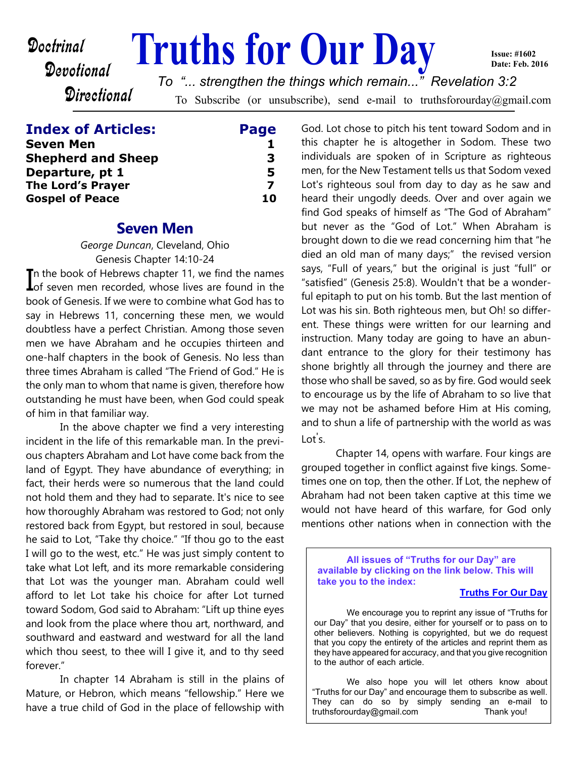# **Doctrinal Truths for Our Day**

**Issue: #1602 Date: Feb. 2016**

**Directional** 

Devotional

To Subscribe (or unsubscribe), send e-mail to truthsforourday@gmail.com *To "... strengthen the things which remain..." Revelation 3:2*

## **Index of Articles: Page**

| <b>Seven Men</b>          |    |
|---------------------------|----|
| <b>Shepherd and Sheep</b> | З  |
| Departure, pt 1           | 5  |
| <b>The Lord's Prayer</b>  |    |
| <b>Gospel of Peace</b>    | 10 |

## **Seven Men**

*George Duncan*, Cleveland, Ohio Genesis Chapter 14:10-24

In the book of Hebrews chapter 11, we find the names<br>Lof seven men recorded, whose lives are found in the Th the book of Hebrews chapter 11, we find the names book of Genesis. If we were to combine what God has to say in Hebrews 11, concerning these men, we would doubtless have a perfect Christian. Among those seven men we have Abraham and he occupies thirteen and one-half chapters in the book of Genesis. No less than three times Abraham is called "The Friend of God." He is the only man to whom that name is given, therefore how outstanding he must have been, when God could speak of him in that familiar way.

 In the above chapter we find a very interesting incident in the life of this remarkable man. In the previous chapters Abraham and Lot have come back from the land of Egypt. They have abundance of everything; in fact, their herds were so numerous that the land could not hold them and they had to separate. It's nice to see how thoroughly Abraham was restored to God; not only restored back from Egypt, but restored in soul, because he said to Lot, "Take thy choice." "If thou go to the east I will go to the west, etc." He was just simply content to take what Lot left, and its more remarkable considering that Lot was the younger man. Abraham could well afford to let Lot take his choice for after Lot turned toward Sodom, God said to Abraham: "Lift up thine eyes and look from the place where thou art, northward, and southward and eastward and westward for all the land which thou seest, to thee will I give it, and to thy seed forever."

 In chapter 14 Abraham is still in the plains of Mature, or Hebron, which means "fellowship." Here we have a true child of God in the place of fellowship with

God. Lot chose to pitch his tent toward Sodom and in this chapter he is altogether in Sodom. These two individuals are spoken of in Scripture as righteous men, for the New Testament tells us that Sodom vexed Lot's righteous soul from day to day as he saw and heard their ungodly deeds. Over and over again we find God speaks of himself as "The God of Abraham" but never as the "God of Lot." When Abraham is brought down to die we read concerning him that "he died an old man of many days;" the revised version says, "Full of years," but the original is just "full" or "satisfied" (Genesis 25:8). Wouldn't that be a wonderful epitaph to put on his tomb. But the last mention of Lot was his sin. Both righteous men, but Oh! so different. These things were written for our learning and instruction. Many today are going to have an abundant entrance to the glory for their testimony has shone brightly all through the journey and there are those who shall be saved, so as by fire. God would seek to encourage us by the life of Abraham to so live that we may not be ashamed before Him at His coming, and to shun a life of partnership with the world as was Lot's.

 Chapter 14, opens with warfare. Four kings are grouped together in conflict against five kings. Sometimes one on top, then the other. If Lot, the nephew of Abraham had not been taken captive at this time we would not have heard of this warfare, for God only mentions other nations when in connection with the

**All issues of "Truths for our Day" are available by clicking on the link below. This will take you to the index:**

#### **[Truths For Our Day](http://truthsforourday.com)**

 We encourage you to reprint any issue of "Truths for our Day" that you desire, either for yourself or to pass on to other believers. Nothing is copyrighted, but we do request that you copy the entirety of the articles and reprint them as they have appeared for accuracy, and that you give recognition to the author of each article.

 We also hope you will let others know about "Truths for our Day" and encourage them to subscribe as well. They can do so by simply sending an e-mail to truthsforourday@gmail.com Thank you!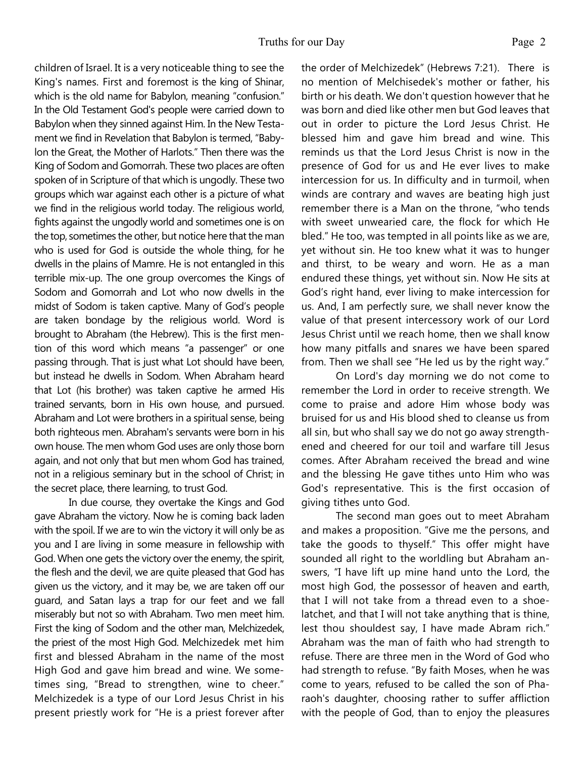children of Israel. It is a very noticeable thing to see the King's names. First and foremost is the king of Shinar, which is the old name for Babylon, meaning "confusion." In the Old Testament God's people were carried down to Babylon when they sinned against Him. In the New Testament we find in Revelation that Babylon is termed, "Babylon the Great, the Mother of Harlots." Then there was the King of Sodom and Gomorrah. These two places are often spoken of in Scripture of that which is ungodly. These two groups which war against each other is a picture of what we find in the religious world today. The religious world, fights against the ungodly world and sometimes one is on the top, sometimes the other, but notice here that the man who is used for God is outside the whole thing, for he dwells in the plains of Mamre. He is not entangled in this terrible mix-up. The one group overcomes the Kings of Sodom and Gomorrah and Lot who now dwells in the midst of Sodom is taken captive. Many of God's people are taken bondage by the religious world. Word is brought to Abraham (the Hebrew). This is the first mention of this word which means "a passenger" or one passing through. That is just what Lot should have been, but instead he dwells in Sodom. When Abraham heard that Lot (his brother) was taken captive he armed His trained servants, born in His own house, and pursued. Abraham and Lot were brothers in a spiritual sense, being both righteous men. Abraham's servants were born in his own house. The men whom God uses are only those born again, and not only that but men whom God has trained,

the secret place, there learning, to trust God. In due course, they overtake the Kings and God gave Abraham the victory. Now he is coming back laden with the spoil. If we are to win the victory it will only be as you and I are living in some measure in fellowship with God. When one gets the victory over the enemy, the spirit, the flesh and the devil, we are quite pleased that God has given us the victory, and it may be, we are taken off our guard, and Satan lays a trap for our feet and we fall miserably but not so with Abraham. Two men meet him. First the king of Sodom and the other man, Melchizedek, the priest of the most High God. Melchizedek met him first and blessed Abraham in the name of the most High God and gave him bread and wine. We sometimes sing, "Bread to strengthen, wine to cheer." Melchizedek is a type of our Lord Jesus Christ in his present priestly work for "He is a priest forever after

not in a religious seminary but in the school of Christ; in

the order of Melchizedek" (Hebrews 7:21). There is no mention of Melchisedek's mother or father, his birth or his death. We don't question however that he was born and died like other men but God leaves that out in order to picture the Lord Jesus Christ. He blessed him and gave him bread and wine. This reminds us that the Lord Jesus Christ is now in the presence of God for us and He ever lives to make intercession for us. In difficulty and in turmoil, when winds are contrary and waves are beating high just remember there is a Man on the throne, "who tends with sweet unwearied care, the flock for which He bled." He too, was tempted in all points like as we are, yet without sin. He too knew what it was to hunger and thirst, to be weary and worn. He as a man endured these things, yet without sin. Now He sits at God's right hand, ever living to make intercession for us. And, I am perfectly sure, we shall never know the value of that present intercessory work of our Lord Jesus Christ until we reach home, then we shall know how many pitfalls and snares we have been spared from. Then we shall see "He led us by the right way."

 On Lord's day morning we do not come to remember the Lord in order to receive strength. We come to praise and adore Him whose body was bruised for us and His blood shed to cleanse us from all sin, but who shall say we do not go away strengthened and cheered for our toil and warfare till Jesus comes. After Abraham received the bread and wine and the blessing He gave tithes unto Him who was God's representative. This is the first occasion of giving tithes unto God.

 The second man goes out to meet Abraham and makes a proposition. "Give me the persons, and take the goods to thyself." This offer might have sounded all right to the worldling but Abraham answers, "I have lift up mine hand unto the Lord, the most high God, the possessor of heaven and earth, that I will not take from a thread even to a shoelatchet, and that I will not take anything that is thine, lest thou shouldest say, I have made Abram rich." Abraham was the man of faith who had strength to refuse. There are three men in the Word of God who had strength to refuse. "By faith Moses, when he was come to years, refused to be called the son of Pharaoh's daughter, choosing rather to suffer affliction with the people of God, than to enjoy the pleasures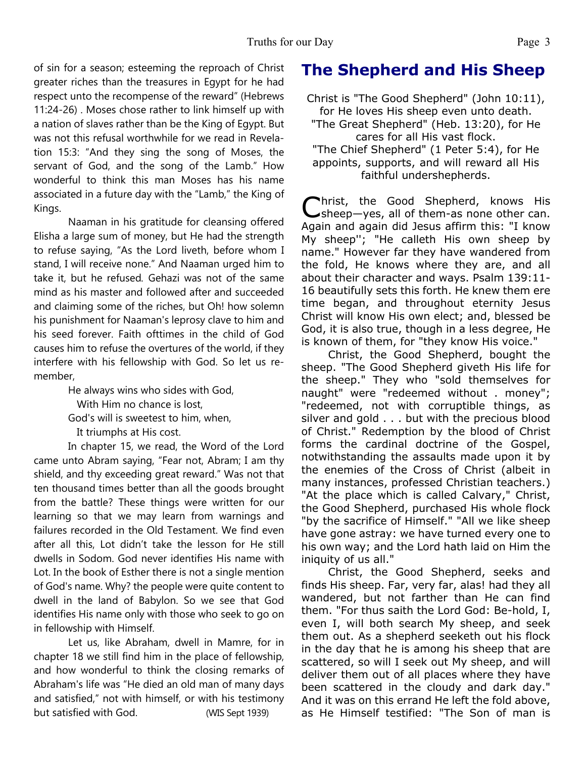of sin for a season; esteeming the reproach of Christ greater riches than the treasures in Egypt for he had respect unto the recompense of the reward" (Hebrews 11:24-26) . Moses chose rather to link himself up with a nation of slaves rather than be the King of Egypt. But was not this refusal worthwhile for we read in Revelation 15:3: "And they sing the song of Moses, the servant of God, and the song of the Lamb." How wonderful to think this man Moses has his name associated in a future day with the "Lamb," the King of Kings.

 Naaman in his gratitude for cleansing offered Elisha a large sum of money, but He had the strength to refuse saying, "As the Lord liveth, before whom I stand, I will receive none." And Naaman urged him to take it, but he refused*.* Gehazi was not of the same mind as his master and followed after and succeeded and claiming some of the riches, but Oh! how solemn his punishment for Naaman's leprosy clave to him and his seed forever. Faith ofttimes in the child of God causes him to refuse the overtures of the world, if they interfere with his fellowship with God. So let us remember,

He always wins who sides with God,

With Him no chance is lost,

God's will is sweetest to him, when,

It triumphs at His cost.

 In chapter 15, we read, the Word of the Lord came unto Abram saying, "Fear not, Abram; I am thy shield, and thy exceeding great reward." Was not that ten thousand times better than all the goods brought from the battle? These things were written for our learning so that we may learn from warnings and failures recorded in the Old Testament. We find even after all this, Lot didn't take the lesson for He still dwells in Sodom. God never identifies His name with Lot. In the book of Esther there is not a single mention of God's name. Why? the people were quite content to dwell in the land of Babylon. So we see that God identifies His name only with those who seek to go on in fellowship with Himself.

 Let us, like Abraham, dwell in Mamre, for in chapter 18 we still find him in the place of fellowship, and how wonderful to think the closing remarks of Abraham's life was "He died an old man of many days and satisfied," not with himself, or with his testimony but satisfied with God. (WIS Sept 1939)

# **The Shepherd and His Sheep**

Christ is "The Good Shepherd" (John 10:11), for He loves His sheep even unto death.

"The Great Shepherd" (Heb. 13:20), for He cares for all His vast flock.

"The Chief Shepherd" (1 Peter 5:4), for He appoints, supports, and will reward all His faithful undershepherds.

Christ, the Good Shepherd, knows His<br>
Sheep—yes, all of them-as none other can. hrist, the Good Shepherd, knows His Again and again did Jesus affirm this: "I know My sheep''; "He calleth His own sheep by name." However far they have wandered from the fold, He knows where they are, and all about their character and ways. Psalm 139:11- 16 beautifully sets this forth. He knew them ere time began, and throughout eternity Jesus Christ will know His own elect; and, blessed be God, it is also true, though in a less degree, He is known of them, for "they know His voice."

Christ, the Good Shepherd, bought the sheep. "The Good Shepherd giveth His life for the sheep." They who "sold themselves for naught" were "redeemed without . money"; "redeemed, not with corruptible things, as silver and gold . . . but with the precious blood of Christ." Redemption by the blood of Christ forms the cardinal doctrine of the Gospel, notwithstanding the assaults made upon it by the enemies of the Cross of Christ (albeit in many instances, professed Christian teachers.) "At the place which is called Calvary," Christ, the Good Shepherd, purchased His whole flock "by the sacrifice of Himself." "All we like sheep have gone astray: we have turned every one to his own way; and the Lord hath laid on Him the iniquity of us all."

Christ, the Good Shepherd, seeks and finds His sheep. Far, very far, alas! had they all wandered, but not farther than He can find them. "For thus saith the Lord God: Be-hold, I, even I, will both search My sheep, and seek them out. As a shepherd seeketh out his flock in the day that he is among his sheep that are scattered, so will I seek out My sheep, and will deliver them out of all places where they have been scattered in the cloudy and dark day." And it was on this errand He left the fold above, as He Himself testified: "The Son of man is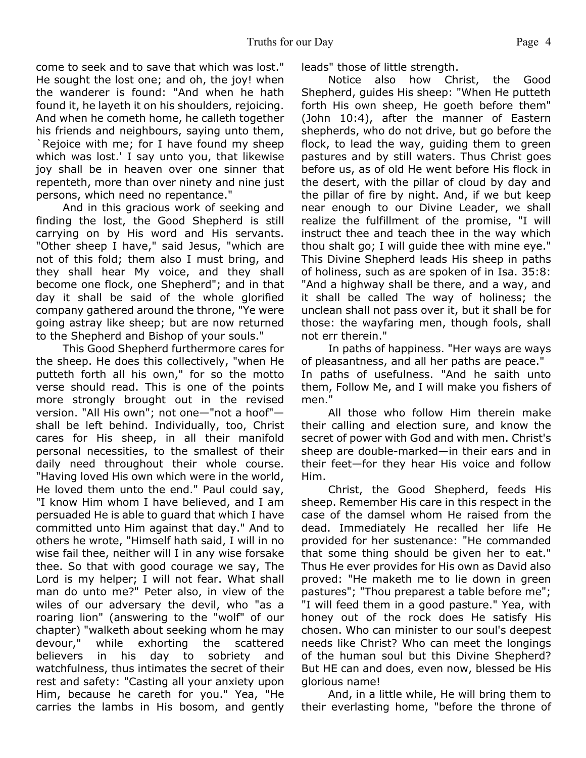come to seek and to save that which was lost." He sought the lost one; and oh, the joy! when the wanderer is found: "And when he hath found it, he layeth it on his shoulders, rejoicing. And when he cometh home, he calleth together his friends and neighbours, saying unto them, `Rejoice with me; for I have found my sheep which was lost.' I say unto you, that likewise joy shall be in heaven over one sinner that repenteth, more than over ninety and nine just persons, which need no repentance."

And in this gracious work of seeking and finding the lost, the Good Shepherd is still carrying on by His word and His servants. "Other sheep I have," said Jesus, "which are not of this fold; them also I must bring, and they shall hear My voice, and they shall become one flock, one Shepherd"; and in that day it shall be said of the whole glorified company gathered around the throne, "Ye were going astray like sheep; but are now returned to the Shepherd and Bishop of your souls."

This Good Shepherd furthermore cares for the sheep. He does this collectively, "when He putteth forth all his own," for so the motto verse should read. This is one of the points more strongly brought out in the revised version. "All His own"; not one—"not a hoof" shall be left behind. Individually, too, Christ cares for His sheep, in all their manifold personal necessities, to the smallest of their daily need throughout their whole course. "Having loved His own which were in the world, He loved them unto the end." Paul could say, "I know Him whom I have believed, and I am persuaded He is able to guard that which I have committed unto Him against that day." And to others he wrote, "Himself hath said, I will in no wise fail thee, neither will I in any wise forsake thee. So that with good courage we say, The Lord is my helper; I will not fear. What shall man do unto me?" Peter also, in view of the wiles of our adversary the devil, who "as a roaring lion" (answering to the "wolf" of our chapter) "walketh about seeking whom he may devour," while exhorting the scattered believers in his day to sobriety and watchfulness, thus intimates the secret of their rest and safety: "Casting all your anxiety upon Him, because he careth for you." Yea, "He carries the lambs in His bosom, and gently leads" those of little strength.

Notice also how Christ, the Good Shepherd, guides His sheep: "When He putteth forth His own sheep, He goeth before them" (John 10:4), after the manner of Eastern shepherds, who do not drive, but go before the flock, to lead the way, guiding them to green pastures and by still waters. Thus Christ goes before us, as of old He went before His flock in the desert, with the pillar of cloud by day and the pillar of fire by night. And, if we but keep near enough to our Divine Leader, we shall realize the fulfillment of the promise, "I will instruct thee and teach thee in the way which thou shalt go; I will guide thee with mine eye." This Divine Shepherd leads His sheep in paths of holiness, such as are spoken of in Isa. 35:8: "And a highway shall be there, and a way, and it shall be called The way of holiness; the unclean shall not pass over it, but it shall be for those: the wayfaring men, though fools, shall not err therein."

In paths of happiness. "Her ways are ways of pleasantness, and all her paths are peace." In paths of usefulness. "And he saith unto them, Follow Me, and I will make you fishers of men."

All those who follow Him therein make their calling and election sure, and know the secret of power with God and with men. Christ's sheep are double-marked—in their ears and in their feet—for they hear His voice and follow Him.

Christ, the Good Shepherd, feeds His sheep. Remember His care in this respect in the case of the damsel whom He raised from the dead. Immediately He recalled her life He provided for her sustenance: "He commanded that some thing should be given her to eat." Thus He ever provides for His own as David also proved: "He maketh me to lie down in green pastures"; "Thou preparest a table before me"; "I will feed them in a good pasture." Yea, with honey out of the rock does He satisfy His chosen. Who can minister to our soul's deepest needs like Christ? Who can meet the longings of the human soul but this Divine Shepherd? But HE can and does, even now, blessed be His glorious name!

And, in a little while, He will bring them to their everlasting home, "before the throne of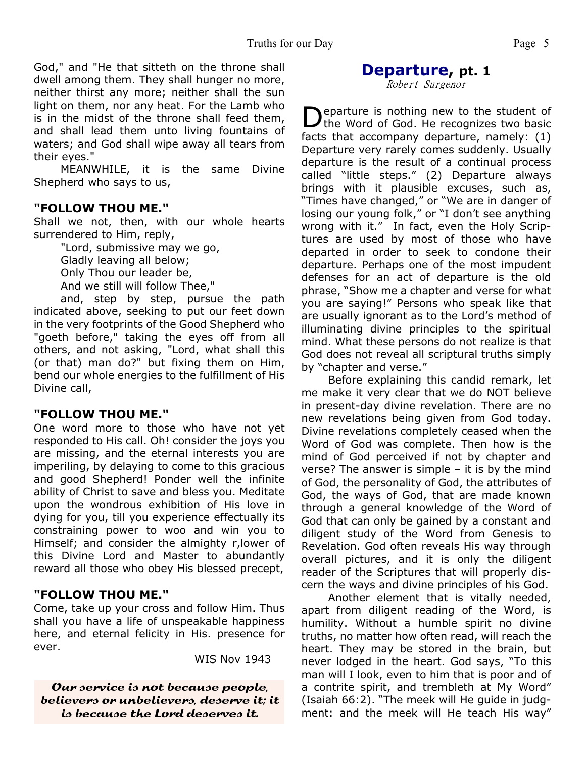God," and "He that sitteth on the throne shall dwell among them. They shall hunger no more, neither thirst any more; neither shall the sun light on them, nor any heat. For the Lamb who is in the midst of the throne shall feed them, and shall lead them unto living fountains of waters; and God shall wipe away all tears from their eyes."

MEANWHILE, it is the same Divine Shepherd who says to us,

#### **"FOLLOW THOU ME."**

Shall we not, then, with our whole hearts surrendered to Him, reply,

> "Lord, submissive may we go, Gladly leaving all below; Only Thou our leader be, And we still will follow Thee,"

and, step by step, pursue the path indicated above, seeking to put our feet down in the very footprints of the Good Shepherd who "goeth before," taking the eyes off from all others, and not asking, "Lord, what shall this (or that) man do?" but fixing them on Him, bend our whole energies to the fulfillment of His Divine call,

#### **"FOLLOW THOU ME."**

One word more to those who have not yet responded to His call. Oh! consider the joys you are missing, and the eternal interests you are imperiling, by delaying to come to this gracious and good Shepherd! Ponder well the infinite ability of Christ to save and bless you. Meditate upon the wondrous exhibition of His love in dying for you, till you experience effectually its constraining power to woo and win you to Himself; and consider the almighty r,lower of this Divine Lord and Master to abundantly reward all those who obey His blessed precept,

### **"FOLLOW THOU ME."**

Come, take up your cross and follow Him. Thus shall you have a life of unspeakable happiness here, and eternal felicity in His. presence for ever.

WIS Nov 1943

Our service is not because people, believers or unbelievers, deserve it; it is because the Lord deserves it.

#### **Departure, pt. 1** Robert Surgenor

Departure is nothing new to the student of<br>the Word of God. He recognizes two basic eparture is nothing new to the student of facts that accompany departure, namely: (1) Departure very rarely comes suddenly. Usually departure is the result of a continual process called "little steps." (2) Departure always brings with it plausible excuses, such as, "Times have changed," or "We are in danger of losing our young folk," or "I don't see anything wrong with it." In fact, even the Holy Scriptures are used by most of those who have departed in order to seek to condone their departure. Perhaps one of the most impudent defenses for an act of departure is the old phrase, "Show me a chapter and verse for what you are saying!" Persons who speak like that are usually ignorant as to the Lord's method of illuminating divine principles to the spiritual mind. What these persons do not realize is that God does not reveal all scriptural truths simply by "chapter and verse."

 Before explaining this candid remark, let me make it very clear that we do NOT believe in present-day divine revelation. There are no new revelations being given from God today. Divine revelations completely ceased when the Word of God was complete. Then how is the mind of God perceived if not by chapter and verse? The answer is simple – it is by the mind of God, the personality of God, the attributes of God, the ways of God, that are made known through a general knowledge of the Word of God that can only be gained by a constant and diligent study of the Word from Genesis to Revelation. God often reveals His way through overall pictures, and it is only the diligent reader of the Scriptures that will properly discern the ways and divine principles of his God.

 Another element that is vitally needed, apart from diligent reading of the Word, is humility. Without a humble spirit no divine truths, no matter how often read, will reach the heart. They may be stored in the brain, but never lodged in the heart. God says, "To this man will I look, even to him that is poor and of a contrite spirit, and trembleth at My Word" (Isaiah 66:2). "The meek will He guide in judgment: and the meek will He teach His way"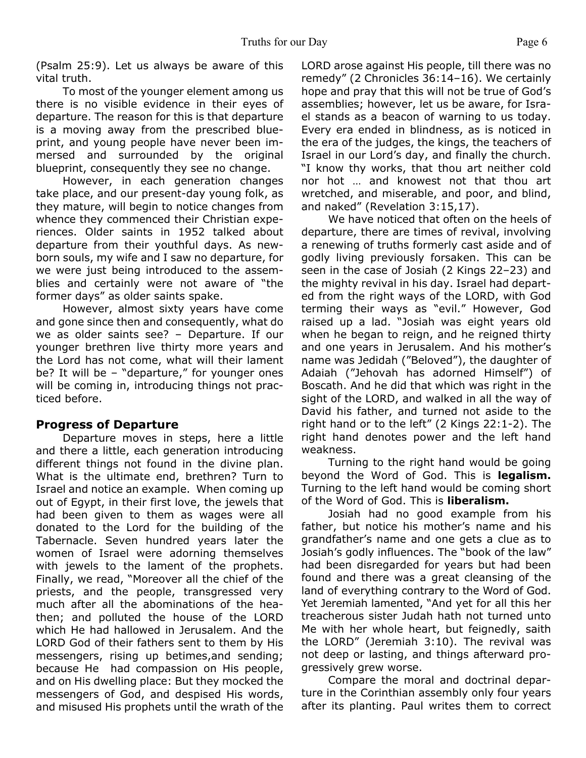(Psalm 25:9). Let us always be aware of this vital truth.

 To most of the younger element among us there is no visible evidence in their eyes of departure. The reason for this is that departure is a moving away from the prescribed blueprint, and young people have never been immersed and surrounded by the original blueprint, consequently they see no change.

 However, in each generation changes take place, and our present-day young folk, as they mature, will begin to notice changes from whence they commenced their Christian experiences. Older saints in 1952 talked about departure from their youthful days. As newborn souls, my wife and I saw no departure, for we were just being introduced to the assemblies and certainly were not aware of "the former days" as older saints spake.

 However, almost sixty years have come and gone since then and consequently, what do we as older saints see? – Departure. If our younger brethren live thirty more years and the Lord has not come, what will their lament be? It will be - "departure," for younger ones will be coming in, introducing things not practiced before.

#### **Progress of Departure**

 Departure moves in steps, here a little and there a little, each generation introducing different things not found in the divine plan. What is the ultimate end, brethren? Turn to Israel and notice an example. When coming up out of Egypt, in their first love, the jewels that had been given to them as wages were all donated to the Lord for the building of the Tabernacle. Seven hundred years later the women of Israel were adorning themselves with jewels to the lament of the prophets. Finally, we read, "Moreover all the chief of the priests, and the people, transgressed very much after all the abominations of the heathen; and polluted the house of the LORD which He had hallowed in Jerusalem. And the LORD God of their fathers sent to them by His messengers, rising up betimes,and sending; because He had compassion on His people, and on His dwelling place: But they mocked the messengers of God, and despised His words, and misused His prophets until the wrath of the

LORD arose against His people, till there was no remedy" (2 Chronicles 36:14–16). We certainly hope and pray that this will not be true of God's assemblies; however, let us be aware, for Israel stands as a beacon of warning to us today. Every era ended in blindness, as is noticed in the era of the judges, the kings, the teachers of Israel in our Lord's day, and finally the church. "I know thy works, that thou art neither cold nor hot … and knowest not that thou art wretched, and miserable, and poor, and blind, and naked" (Revelation 3:15,17).

 We have noticed that often on the heels of departure, there are times of revival, involving a renewing of truths formerly cast aside and of godly living previously forsaken. This can be seen in the case of Josiah (2 Kings 22–23) and the mighty revival in his day. Israel had departed from the right ways of the LORD, with God terming their ways as "evil." However, God raised up a lad. "Josiah was eight years old when he began to reign, and he reigned thirty and one years in Jerusalem. And his mother's name was Jedidah ("Beloved"), the daughter of Adaiah ("Jehovah has adorned Himself") of Boscath. And he did that which was right in the sight of the LORD, and walked in all the way of David his father, and turned not aside to the right hand or to the left" (2 Kings 22:1-2). The right hand denotes power and the left hand weakness.

 Turning to the right hand would be going beyond the Word of God. This is **legalism.** Turning to the left hand would be coming short of the Word of God. This is **liberalism.**

 Josiah had no good example from his father, but notice his mother's name and his grandfather's name and one gets a clue as to Josiah's godly influences. The "book of the law" had been disregarded for years but had been found and there was a great cleansing of the land of everything contrary to the Word of God. Yet Jeremiah lamented, "And yet for all this her treacherous sister Judah hath not turned unto Me with her whole heart, but feignedly, saith the LORD" (Jeremiah 3:10). The revival was not deep or lasting, and things afterward progressively grew worse.

 Compare the moral and doctrinal departure in the Corinthian assembly only four years after its planting. Paul writes them to correct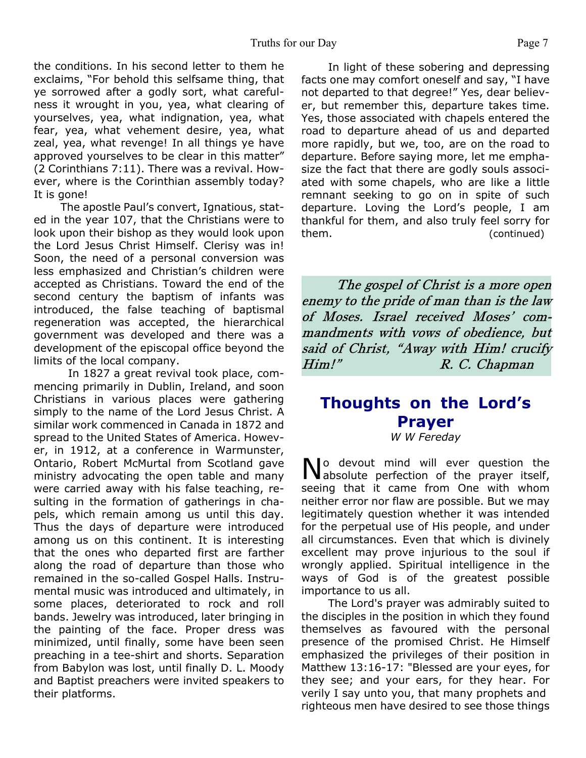the conditions. In his second letter to them he exclaims, "For behold this selfsame thing, that ye sorrowed after a godly sort, what carefulness it wrought in you, yea, what clearing of yourselves, yea, what indignation, yea, what fear, yea, what vehement desire, yea, what zeal, yea, what revenge! In all things ye have approved yourselves to be clear in this matter" (2 Corinthians 7:11). There was a revival. However, where is the Corinthian assembly today? It is gone!

 The apostle Paul's convert, Ignatious, stated in the year 107, that the Christians were to look upon their bishop as they would look upon the Lord Jesus Christ Himself. Clerisy was in! Soon, the need of a personal conversion was less emphasized and Christian's children were accepted as Christians. Toward the end of the second century the baptism of infants was introduced, the false teaching of baptismal regeneration was accepted, the hierarchical government was developed and there was a development of the episcopal office beyond the limits of the local company.

 In 1827 a great revival took place, commencing primarily in Dublin, Ireland, and soon Christians in various places were gathering simply to the name of the Lord Jesus Christ. A similar work commenced in Canada in 1872 and spread to the United States of America. However, in 1912, at a conference in Warmunster, Ontario, Robert McMurtal from Scotland gave ministry advocating the open table and many were carried away with his false teaching, resulting in the formation of gatherings in chapels, which remain among us until this day. Thus the days of departure were introduced among us on this continent. It is interesting that the ones who departed first are farther along the road of departure than those who remained in the so-called Gospel Halls. Instrumental music was introduced and ultimately, in some places, deteriorated to rock and roll bands. Jewelry was introduced, later bringing in the painting of the face. Proper dress was minimized, until finally, some have been seen preaching in a tee-shirt and shorts. Separation from Babylon was lost, until finally D. L. Moody and Baptist preachers were invited speakers to their platforms.

 In light of these sobering and depressing facts one may comfort oneself and say, "I have not departed to that degree!" Yes, dear believer, but remember this, departure takes time. Yes, those associated with chapels entered the road to departure ahead of us and departed more rapidly, but we, too, are on the road to departure. Before saying more, let me emphasize the fact that there are godly souls associated with some chapels, who are like a little remnant seeking to go on in spite of such departure. Loving the Lord's people, I am thankful for them, and also truly feel sorry for them. (continued)

The gospel of Christ is a more open enemy to the pride of man than is the law of Moses. Israel received Moses' commandments with vows of obedience, but said of Christ, "Away with Him! crucify Him!" R. C. Chapman

## **Thoughts on the Lord's Prayer**

*W W Fereday*

No devout mind will ever question the<br>Nabsolute perfection of the prayer itself, **Io** devout mind will ever question the seeing that it came from One with whom neither error nor flaw are possible. But we may legitimately question whether it was intended for the perpetual use of His people, and under all circumstances. Even that which is divinely excellent may prove injurious to the soul if wrongly applied. Spiritual intelligence in the ways of God is of the greatest possible importance to us all.

The Lord's prayer was admirably suited to the disciples in the position in which they found themselves as favoured with the personal presence of the promised Christ. He Himself emphasized the privileges of their position in Matthew 13:16-17: "Blessed are your eyes, for they see; and your ears, for they hear. For verily I say unto you, that many prophets and righteous men have desired to see those things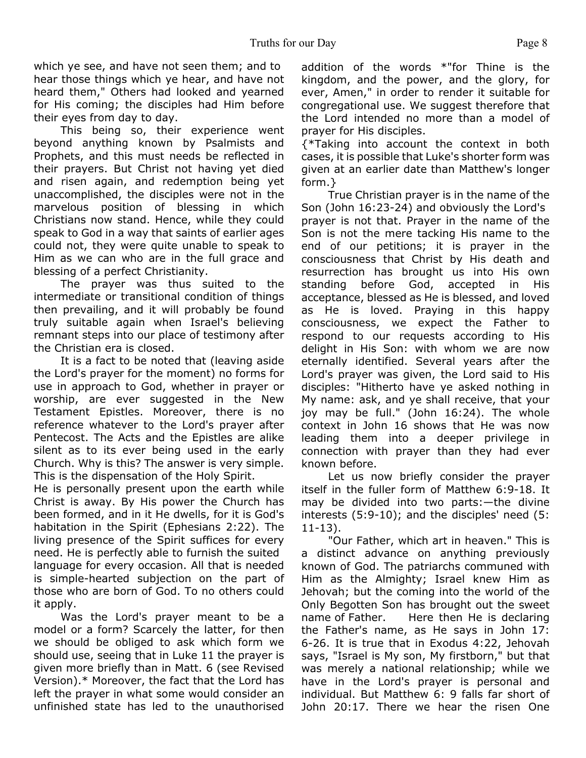which ye see, and have not seen them; and to hear those things which ye hear, and have not heard them," Others had looked and yearned for His coming; the disciples had Him before their eyes from day to day.

This being so, their experience went beyond anything known by Psalmists and Prophets, and this must needs be reflected in their prayers. But Christ not having yet died and risen again, and redemption being yet unaccomplished, the disciples were not in the marvelous position of blessing in which Christians now stand. Hence, while they could speak to God in a way that saints of earlier ages could not, they were quite unable to speak to Him as we can who are in the full grace and blessing of a perfect Christianity.

The prayer was thus suited to the intermediate or transitional condition of things then prevailing, and it will probably be found truly suitable again when Israel's believing remnant steps into our place of testimony after the Christian era is closed.

It is a fact to be noted that (leaving aside the Lord's prayer for the moment) no forms for use in approach to God, whether in prayer or worship, are ever suggested in the New Testament Epistles. Moreover, there is no reference whatever to the Lord's prayer after Pentecost. The Acts and the Epistles are alike silent as to its ever being used in the early Church. Why is this? The answer is very simple. This is the dispensation of the Holy Spirit.

He is personally present upon the earth while Christ is away. By His power the Church has been formed, and in it He dwells, for it is God's habitation in the Spirit (Ephesians 2:22). The living presence of the Spirit suffices for every need. He is perfectly able to furnish the suited language for every occasion. All that is needed is simple-hearted subjection on the part of those who are born of God. To no others could it apply.

Was the Lord's prayer meant to be a model or a form? Scarcely the latter, for then we should be obliged to ask which form we should use, seeing that in Luke 11 the prayer is given more briefly than in Matt. 6 (see Revised Version).\* Moreover, the fact that the Lord has left the prayer in what some would consider an unfinished state has led to the unauthorised

addition of the words \*"for Thine is the kingdom, and the power, and the glory, for ever, Amen," in order to render it suitable for congregational use. We suggest therefore that the Lord intended no more than a model of prayer for His disciples.

{\*Taking into account the context in both cases, it is possible that Luke's shorter form was given at an earlier date than Matthew's longer form.}

True Christian prayer is in the name of the Son (John 16:23-24) and obviously the Lord's prayer is not that. Prayer in the name of the Son is not the mere tacking His name to the end of our petitions; it is prayer in the consciousness that Christ by His death and resurrection has brought us into His own standing before God, accepted in His acceptance, blessed as He is blessed, and loved as He is loved. Praying in this happy consciousness, we expect the Father to respond to our requests according to His delight in His Son: with whom we are now eternally identified. Several years after the Lord's prayer was given, the Lord said to His disciples: "Hitherto have ye asked nothing in My name: ask, and ye shall receive, that your joy may be full." (John 16:24). The whole context in John 16 shows that He was now leading them into a deeper privilege in connection with prayer than they had ever known before.

Let us now briefly consider the prayer itself in the fuller form of Matthew 6:9-18. It may be divided into two parts:—the divine interests (5:9-10); and the disciples' need (5: 11-13).

"Our Father, which art in heaven." This is a distinct advance on anything previously known of God. The patriarchs communed with Him as the Almighty; Israel knew Him as Jehovah; but the coming into the world of the Only Begotten Son has brought out the sweet name of Father. Here then He is declaring the Father's name, as He says in John 17: 6-26. It is true that in Exodus 4:22, Jehovah says, "Israel is My son, My firstborn," but that was merely a national relationship; while we have in the Lord's prayer is personal and individual. But Matthew 6: 9 falls far short of John 20:17. There we hear the risen One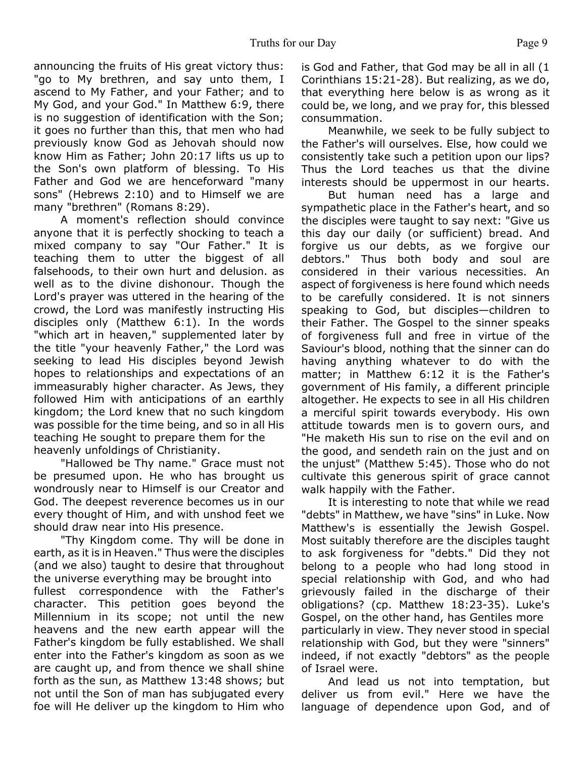announcing the fruits of His great victory thus: "go to My brethren, and say unto them, I ascend to My Father, and your Father; and to My God, and your God." In Matthew 6:9, there is no suggestion of identification with the Son; it goes no further than this, that men who had previously know God as Jehovah should now know Him as Father; John 20:17 lifts us up to the Son's own platform of blessing. To His Father and God we are henceforward "many sons" (Hebrews 2:10) and to Himself we are many "brethren" (Romans 8:29).

A moment's reflection should convince anyone that it is perfectly shocking to teach a mixed company to say "Our Father." It is teaching them to utter the biggest of all falsehoods, to their own hurt and delusion. as well as to the divine dishonour. Though the Lord's prayer was uttered in the hearing of the crowd, the Lord was manifestly instructing His disciples only (Matthew 6:1). In the words "which art in heaven," supplemented later by the title "your heavenly Father," the Lord was seeking to lead His disciples beyond Jewish hopes to relationships and expectations of an immeasurably higher character. As Jews, they followed Him with anticipations of an earthly kingdom; the Lord knew that no such kingdom was possible for the time being, and so in all His teaching He sought to prepare them for the heavenly unfoldings of Christianity.

"Hallowed be Thy name." Grace must not be presumed upon. He who has brought us wondrously near to Himself is our Creator and God. The deepest reverence becomes us in our every thought of Him, and with unshod feet we should draw near into His presence.

"Thy Kingdom come. Thy will be done in earth, as it is in Heaven." Thus were the disciples (and we also) taught to desire that throughout the universe everything may be brought into fullest correspondence with the Father's character. This petition goes beyond the Millennium in its scope; not until the new heavens and the new earth appear will the Father's kingdom be fully established. We shall enter into the Father's kingdom as soon as we are caught up, and from thence we shall shine forth as the sun, as Matthew 13:48 shows; but not until the Son of man has subjugated every foe will He deliver up the kingdom to Him who

is God and Father, that God may be all in all (1 Corinthians 15:21-28). But realizing, as we do, that everything here below is as wrong as it could be, we long, and we pray for, this blessed consummation.

Meanwhile, we seek to be fully subject to the Father's will ourselves. Else, how could we consistently take such a petition upon our lips? Thus the Lord teaches us that the divine interests should be uppermost in our hearts.

 But human need has a large and sympathetic place in the Father's heart, and so the disciples were taught to say next: "Give us this day our daily (or sufficient) bread. And forgive us our debts, as we forgive our debtors." Thus both body and soul are considered in their various necessities. An aspect of forgiveness is here found which needs to be carefully considered. It is not sinners speaking to God, but disciples—children to their Father. The Gospel to the sinner speaks of forgiveness full and free in virtue of the Saviour's blood, nothing that the sinner can do having anything whatever to do with the matter; in Matthew 6:12 it is the Father's government of His family, a different principle altogether. He expects to see in all His children a merciful spirit towards everybody. His own attitude towards men is to govern ours, and "He maketh His sun to rise on the evil and on the good, and sendeth rain on the just and on the unjust" (Matthew 5:45). Those who do not cultivate this generous spirit of grace cannot walk happily with the Father.

It is interesting to note that while we read "debts" in Matthew, we have "sins" in Luke. Now Matthew's is essentially the Jewish Gospel. Most suitably therefore are the disciples taught to ask forgiveness for "debts." Did they not belong to a people who had long stood in special relationship with God, and who had grievously failed in the discharge of their obligations? (cp. Matthew 18:23-35). Luke's Gospel, on the other hand, has Gentiles more particularly in view. They never stood in special relationship with God, but they were "sinners" indeed, if not exactly "debtors" as the people of Israel were.

 And lead us not into temptation, but deliver us from evil." Here we have the language of dependence upon God, and of